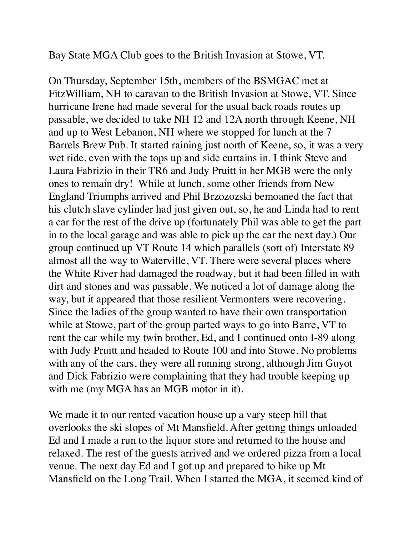Bay State MGA Club goes to the British Invasion at Stowe, VT.

On Thursday, September 15th, members of the BSMGAC met at FitzWilliam, NH to caravan to the British Invasion at Stowe, VT. Since hurricane Irene had made several for the usual back roads routes up passable, we decided to take NH 12 and 12A north through Keene, NH and up to West Lebanon, NH where we stopped for lunch at the 7 Barrels Brew Pub. It started raining just north of Keene, so, it was a very wet ride, even with the tops up and side curtains in. I think Steve and Laura Fabrizio in their TR6 and Judy Pruitt in her MGB were the only ones to remain dry! While at lunch, some other friends from New England Triumphs arrived and Phil Brzozozski bemoaned the fact that his clutch slave cylinder had just given out, so, he and Linda had to rent a car for the rest of the drive up (fortunately Phil was able to get the part in to the local garage and was able to pick up the car the next day.) Our group continued up VT Route 14 which parallels (sort of) Interstate 89 almost all the way to Waterville, VT. There were several places where the White River had damaged the roadway, but it had been filled in with dirt and stones and was passable. We noticed a lot of damage along the way, but it appeared that those resilient Vermonters were recovering. Since the ladies of the group wanted to have their own transportation while at Stowe, part of the group parted ways to go into Barre, VT to rent the car while my twin brother, Ed, and I continued onto I-89 along with Judy Pruitt and headed to Route 100 and into Stowe. No problems with any of the cars, they were all running strong, although Jim Guyot and Dick Fabrizio were complaining that they had trouble keeping up with me (my MGA has an MGB motor in it).

We made it to our rented vacation house up a vary steep hill that overlooks the ski slopes of Mt Mansfield. After getting things unloaded Ed and I made a run to the liquor store and returned to the house and relaxed. The rest of the guests arrived and we ordered pizza from a local venue. The next day Ed and I got up and prepared to hike up Mt Mansfield on the Long Trail. When I started the MGA, it seemed kind of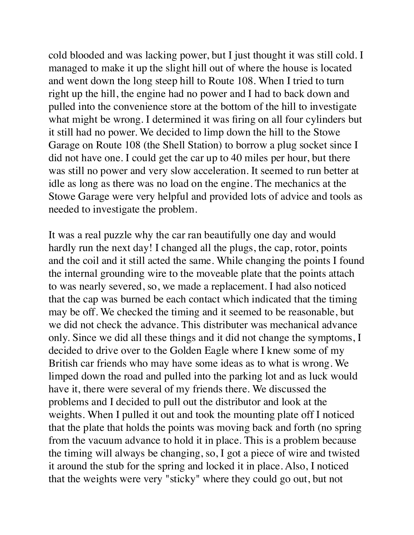cold blooded and was lacking power, but I just thought it was still cold. I managed to make it up the slight hill out of where the house is located and went down the long steep hill to Route 108. When I tried to turn right up the hill, the engine had no power and I had to back down and pulled into the convenience store at the bottom of the hill to investigate what might be wrong. I determined it was firing on all four cylinders but it still had no power. We decided to limp down the hill to the Stowe Garage on Route 108 (the Shell Station) to borrow a plug socket since I did not have one. I could get the car up to 40 miles per hour, but there was still no power and very slow acceleration. It seemed to run better at idle as long as there was no load on the engine. The mechanics at the Stowe Garage were very helpful and provided lots of advice and tools as needed to investigate the problem.

It was a real puzzle why the car ran beautifully one day and would hardly run the next day! I changed all the plugs, the cap, rotor, points and the coil and it still acted the same. While changing the points I found the internal grounding wire to the moveable plate that the points attach to was nearly severed, so, we made a replacement. I had also noticed that the cap was burned be each contact which indicated that the timing may be off. We checked the timing and it seemed to be reasonable, but we did not check the advance. This distributer was mechanical advance only. Since we did all these things and it did not change the symptoms, I decided to drive over to the Golden Eagle where I knew some of my British car friends who may have some ideas as to what is wrong. We limped down the road and pulled into the parking lot and as luck would have it, there were several of my friends there. We discussed the problems and I decided to pull out the distributor and look at the weights. When I pulled it out and took the mounting plate off I noticed that the plate that holds the points was moving back and forth (no spring from the vacuum advance to hold it in place. This is a problem because the timing will always be changing, so, I got a piece of wire and twisted it around the stub for the spring and locked it in place. Also, I noticed that the weights were very "sticky" where they could go out, but not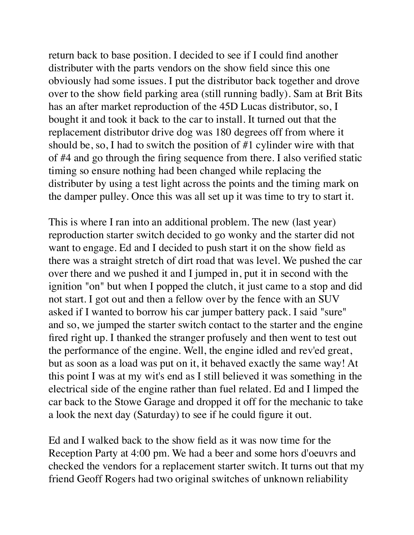return back to base position. I decided to see if I could find another distributer with the parts vendors on the show field since this one obviously had some issues. I put the distributor back together and drove over to the show field parking area (still running badly). Sam at Brit Bits has an after market reproduction of the 45D Lucas distributor, so, I bought it and took it back to the car to install. It turned out that the replacement distributor drive dog was 180 degrees off from where it should be, so, I had to switch the position of #1 cylinder wire with that of #4 and go through the firing sequence from there. I also verified static timing so ensure nothing had been changed while replacing the distributer by using a test light across the points and the timing mark on the damper pulley. Once this was all set up it was time to try to start it.

This is where I ran into an additional problem. The new (last year) reproduction starter switch decided to go wonky and the starter did not want to engage. Ed and I decided to push start it on the show field as there was a straight stretch of dirt road that was level. We pushed the car over there and we pushed it and I jumped in, put it in second with the ignition "on" but when I popped the clutch, it just came to a stop and did not start. I got out and then a fellow over by the fence with an SUV asked if I wanted to borrow his car jumper battery pack. I said "sure" and so, we jumped the starter switch contact to the starter and the engine fired right up. I thanked the stranger profusely and then went to test out the performance of the engine. Well, the engine idled and rev'ed great, but as soon as a load was put on it, it behaved exactly the same way! At this point I was at my wit's end as I still believed it was something in the electrical side of the engine rather than fuel related. Ed and I limped the car back to the Stowe Garage and dropped it off for the mechanic to take a look the next day (Saturday) to see if he could figure it out.

Ed and I walked back to the show field as it was now time for the Reception Party at 4:00 pm. We had a beer and some hors d'oeuvrs and checked the vendors for a replacement starter switch. It turns out that my friend Geoff Rogers had two original switches of unknown reliability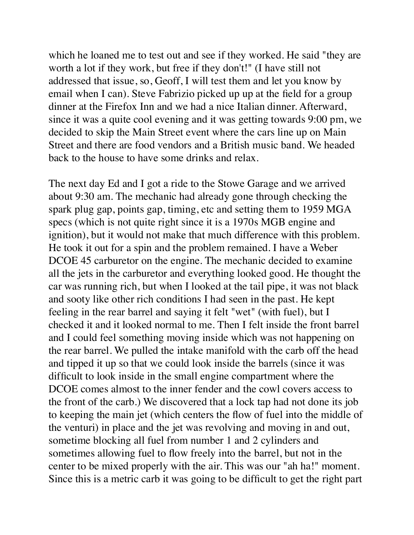which he loaned me to test out and see if they worked. He said "they are worth a lot if they work, but free if they don't!" (I have still not addressed that issue, so, Geoff, I will test them and let you know by email when I can). Steve Fabrizio picked up up at the field for a group dinner at the Firefox Inn and we had a nice Italian dinner. Afterward, since it was a quite cool evening and it was getting towards 9:00 pm, we decided to skip the Main Street event where the cars line up on Main Street and there are food vendors and a British music band. We headed back to the house to have some drinks and relax.

The next day Ed and I got a ride to the Stowe Garage and we arrived about 9:30 am. The mechanic had already gone through checking the spark plug gap, points gap, timing, etc and setting them to 1959 MGA specs (which is not quite right since it is a 1970s MGB engine and ignition), but it would not make that much difference with this problem. He took it out for a spin and the problem remained. I have a Weber DCOE 45 carburetor on the engine. The mechanic decided to examine all the jets in the carburetor and everything looked good. He thought the car was running rich, but when I looked at the tail pipe, it was not black and sooty like other rich conditions I had seen in the past. He kept feeling in the rear barrel and saying it felt "wet" (with fuel), but I checked it and it looked normal to me. Then I felt inside the front barrel and I could feel something moving inside which was not happening on the rear barrel. We pulled the intake manifold with the carb off the head and tipped it up so that we could look inside the barrels (since it was difficult to look inside in the small engine compartment where the DCOE comes almost to the inner fender and the cowl covers access to the front of the carb.) We discovered that a lock tap had not done its job to keeping the main jet (which centers the flow of fuel into the middle of the venturi) in place and the jet was revolving and moving in and out, sometime blocking all fuel from number 1 and 2 cylinders and sometimes allowing fuel to flow freely into the barrel, but not in the center to be mixed properly with the air. This was our "ah ha!" moment. Since this is a metric carb it was going to be difficult to get the right part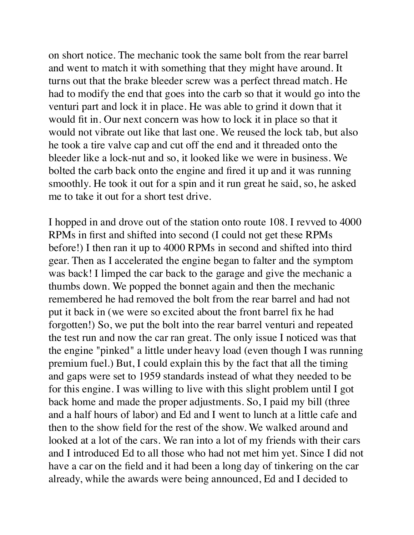on short notice. The mechanic took the same bolt from the rear barrel and went to match it with something that they might have around. It turns out that the brake bleeder screw was a perfect thread match. He had to modify the end that goes into the carb so that it would go into the venturi part and lock it in place. He was able to grind it down that it would fit in. Our next concern was how to lock it in place so that it would not vibrate out like that last one. We reused the lock tab, but also he took a tire valve cap and cut off the end and it threaded onto the bleeder like a lock-nut and so, it looked like we were in business. We bolted the carb back onto the engine and fired it up and it was running smoothly. He took it out for a spin and it run great he said, so, he asked me to take it out for a short test drive.

I hopped in and drove out of the station onto route 108. I revved to 4000 RPMs in first and shifted into second (I could not get these RPMs before!) I then ran it up to 4000 RPMs in second and shifted into third gear. Then as I accelerated the engine began to falter and the symptom was back! I limped the car back to the garage and give the mechanic a thumbs down. We popped the bonnet again and then the mechanic remembered he had removed the bolt from the rear barrel and had not put it back in (we were so excited about the front barrel fix he had forgotten!) So, we put the bolt into the rear barrel venturi and repeated the test run and now the car ran great. The only issue I noticed was that the engine "pinked" a little under heavy load (even though I was running premium fuel.) But, I could explain this by the fact that all the timing and gaps were set to 1959 standards instead of what they needed to be for this engine. I was willing to live with this slight problem until I got back home and made the proper adjustments. So, I paid my bill (three and a half hours of labor) and Ed and I went to lunch at a little cafe and then to the show field for the rest of the show. We walked around and looked at a lot of the cars. We ran into a lot of my friends with their cars and I introduced Ed to all those who had not met him yet. Since I did not have a car on the field and it had been a long day of tinkering on the car already, while the awards were being announced, Ed and I decided to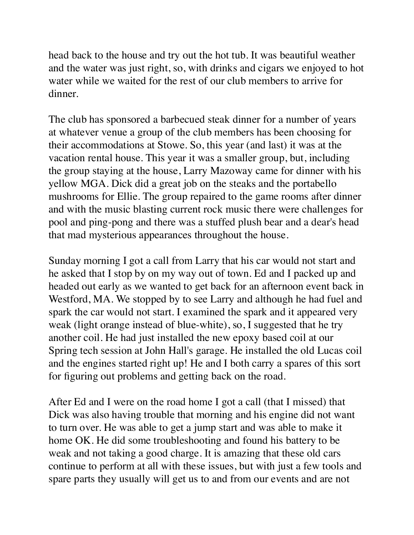head back to the house and try out the hot tub. It was beautiful weather and the water was just right, so, with drinks and cigars we enjoyed to hot water while we waited for the rest of our club members to arrive for dinner.

The club has sponsored a barbecued steak dinner for a number of years at whatever venue a group of the club members has been choosing for their accommodations at Stowe. So, this year (and last) it was at the vacation rental house. This year it was a smaller group, but, including the group staying at the house, Larry Mazoway came for dinner with his yellow MGA. Dick did a great job on the steaks and the portabello mushrooms for Ellie. The group repaired to the game rooms after dinner and with the music blasting current rock music there were challenges for pool and ping-pong and there was a stuffed plush bear and a dear's head that mad mysterious appearances throughout the house.

Sunday morning I got a call from Larry that his car would not start and he asked that I stop by on my way out of town. Ed and I packed up and headed out early as we wanted to get back for an afternoon event back in Westford, MA. We stopped by to see Larry and although he had fuel and spark the car would not start. I examined the spark and it appeared very weak (light orange instead of blue-white), so, I suggested that he try another coil. He had just installed the new epoxy based coil at our Spring tech session at John Hall's garage. He installed the old Lucas coil and the engines started right up! He and I both carry a spares of this sort for figuring out problems and getting back on the road.

After Ed and I were on the road home I got a call (that I missed) that Dick was also having trouble that morning and his engine did not want to turn over. He was able to get a jump start and was able to make it home OK. He did some troubleshooting and found his battery to be weak and not taking a good charge. It is amazing that these old cars continue to perform at all with these issues, but with just a few tools and spare parts they usually will get us to and from our events and are not